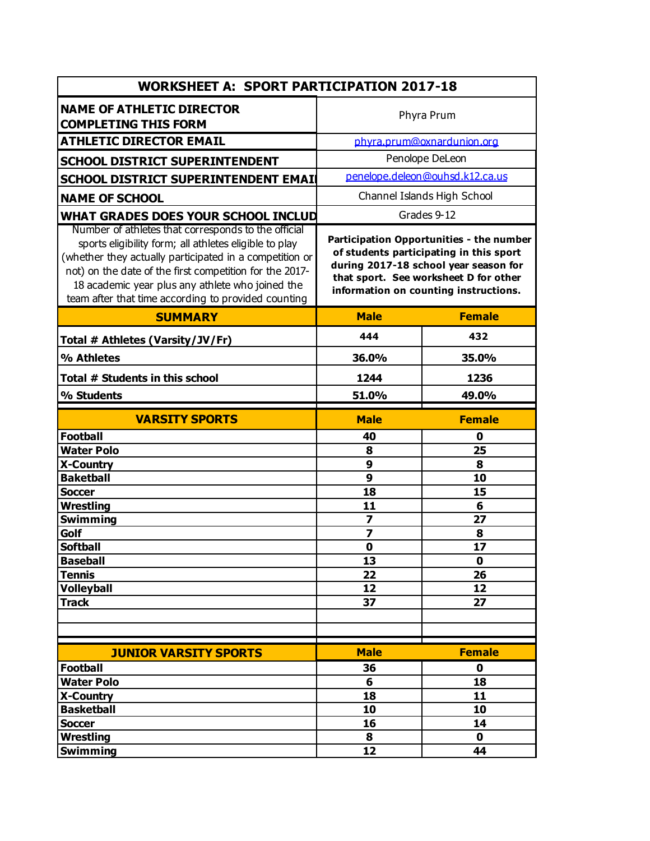| <b>WORKSHEET A: SPORT PARTICIPATION 2017-18</b>                                                                                                                                                                                                                                         |                                                                                                                                                                                                                |               |  |  |
|-----------------------------------------------------------------------------------------------------------------------------------------------------------------------------------------------------------------------------------------------------------------------------------------|----------------------------------------------------------------------------------------------------------------------------------------------------------------------------------------------------------------|---------------|--|--|
| <b>NAME OF ATHLETIC DIRECTOR</b><br><b>COMPLETING THIS FORM</b>                                                                                                                                                                                                                         | Phyra Prum                                                                                                                                                                                                     |               |  |  |
| <b>ATHLETIC DIRECTOR EMAIL</b>                                                                                                                                                                                                                                                          | phyra.prum@oxnardunion.org                                                                                                                                                                                     |               |  |  |
| <b>SCHOOL DISTRICT SUPERINTENDENT</b>                                                                                                                                                                                                                                                   | Penolope DeLeon                                                                                                                                                                                                |               |  |  |
| SCHOOL DISTRICT SUPERINTENDENT EMAIL                                                                                                                                                                                                                                                    | penelope.deleon@ouhsd.k12.ca.us                                                                                                                                                                                |               |  |  |
|                                                                                                                                                                                                                                                                                         | Channel Islands High School                                                                                                                                                                                    |               |  |  |
| <b>NAME OF SCHOOL</b>                                                                                                                                                                                                                                                                   |                                                                                                                                                                                                                |               |  |  |
| WHAT GRADES DOES YOUR SCHOOL INCLUD<br>Number of athletes that corresponds to the official                                                                                                                                                                                              | Grades 9-12                                                                                                                                                                                                    |               |  |  |
| sports eligibility form; all athletes eligible to play<br>(whether they actually participated in a competition or<br>not) on the date of the first competition for the 2017-<br>18 academic year plus any athlete who joined the<br>team after that time according to provided counting | Participation Opportunities - the number<br>of students participating in this sport<br>during 2017-18 school year season for<br>that sport. See worksheet D for other<br>information on counting instructions. |               |  |  |
| <b>SUMMARY</b>                                                                                                                                                                                                                                                                          | <b>Male</b>                                                                                                                                                                                                    | <b>Female</b> |  |  |
| Total # Athletes (Varsity/JV/Fr)                                                                                                                                                                                                                                                        | 444                                                                                                                                                                                                            | 432           |  |  |
| % Athletes                                                                                                                                                                                                                                                                              | 36.0%                                                                                                                                                                                                          | 35.0%         |  |  |
| Total # Students in this school                                                                                                                                                                                                                                                         | 1244                                                                                                                                                                                                           | 1236          |  |  |
| % Students                                                                                                                                                                                                                                                                              | 51.0%                                                                                                                                                                                                          | 49.0%         |  |  |
| <b>VARSITY SPORTS</b>                                                                                                                                                                                                                                                                   | <b>Male</b>                                                                                                                                                                                                    | <b>Female</b> |  |  |
| <b>Football</b>                                                                                                                                                                                                                                                                         | 40                                                                                                                                                                                                             | 0             |  |  |
| <b>Water Polo</b>                                                                                                                                                                                                                                                                       | 8                                                                                                                                                                                                              | 25            |  |  |
| <b>X-Country</b>                                                                                                                                                                                                                                                                        | 9                                                                                                                                                                                                              | 8             |  |  |
| <b>Baketball</b>                                                                                                                                                                                                                                                                        | 9                                                                                                                                                                                                              | 10            |  |  |
| <b>Soccer</b>                                                                                                                                                                                                                                                                           | 18                                                                                                                                                                                                             | 15            |  |  |
| <b>Wrestling</b>                                                                                                                                                                                                                                                                        | 11                                                                                                                                                                                                             | 6             |  |  |
| <b>Swimming</b>                                                                                                                                                                                                                                                                         | $\overline{\mathbf{z}}$                                                                                                                                                                                        | 27            |  |  |
| Golf<br><b>Softball</b>                                                                                                                                                                                                                                                                 | $\overline{\mathbf{z}}$<br>$\mathbf 0$                                                                                                                                                                         | 8<br>17       |  |  |
| <b>Baseball</b>                                                                                                                                                                                                                                                                         | 13                                                                                                                                                                                                             | 0             |  |  |
| <b>Tennis</b>                                                                                                                                                                                                                                                                           | 22                                                                                                                                                                                                             | 26            |  |  |
| <b>Volleyball</b>                                                                                                                                                                                                                                                                       | 12                                                                                                                                                                                                             | 12            |  |  |
| <b>Track</b>                                                                                                                                                                                                                                                                            | 37                                                                                                                                                                                                             | 27            |  |  |
|                                                                                                                                                                                                                                                                                         |                                                                                                                                                                                                                |               |  |  |
|                                                                                                                                                                                                                                                                                         |                                                                                                                                                                                                                |               |  |  |
| <b>JUNIOR VARSITY SPORTS</b>                                                                                                                                                                                                                                                            | <b>Male</b>                                                                                                                                                                                                    | <b>Female</b> |  |  |
| <b>Football</b>                                                                                                                                                                                                                                                                         | 36                                                                                                                                                                                                             | 0             |  |  |
| <b>Water Polo</b>                                                                                                                                                                                                                                                                       | 6                                                                                                                                                                                                              | 18            |  |  |
| X-Country                                                                                                                                                                                                                                                                               | 18                                                                                                                                                                                                             | 11            |  |  |
| <b>Basketball</b>                                                                                                                                                                                                                                                                       | 10                                                                                                                                                                                                             | 10            |  |  |
| <b>Soccer</b>                                                                                                                                                                                                                                                                           | 16                                                                                                                                                                                                             | 14            |  |  |
| <b>Wrestling</b>                                                                                                                                                                                                                                                                        | 8                                                                                                                                                                                                              | $\mathbf 0$   |  |  |
| Swimming                                                                                                                                                                                                                                                                                | 12                                                                                                                                                                                                             | 44            |  |  |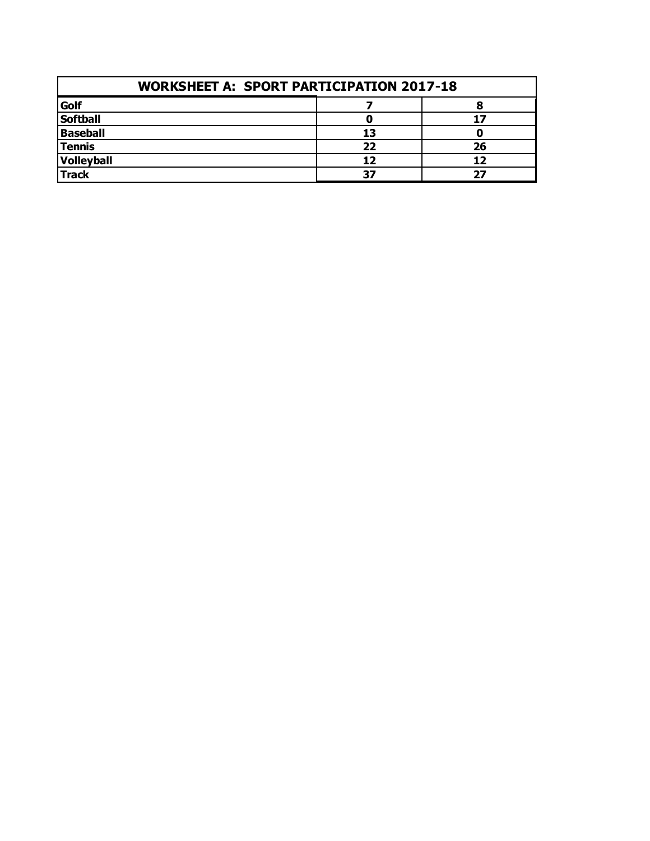| <b>WORKSHEET A: SPORT PARTICIPATION 2017-18</b> |    |    |  |  |
|-------------------------------------------------|----|----|--|--|
| Golf                                            |    |    |  |  |
| <b>Softball</b>                                 |    |    |  |  |
| <b>Baseball</b>                                 | 13 |    |  |  |
| <b>Tennis</b>                                   | 22 | 26 |  |  |
| Volleyball                                      | 12 |    |  |  |
| <b>Track</b>                                    | 37 | כר |  |  |